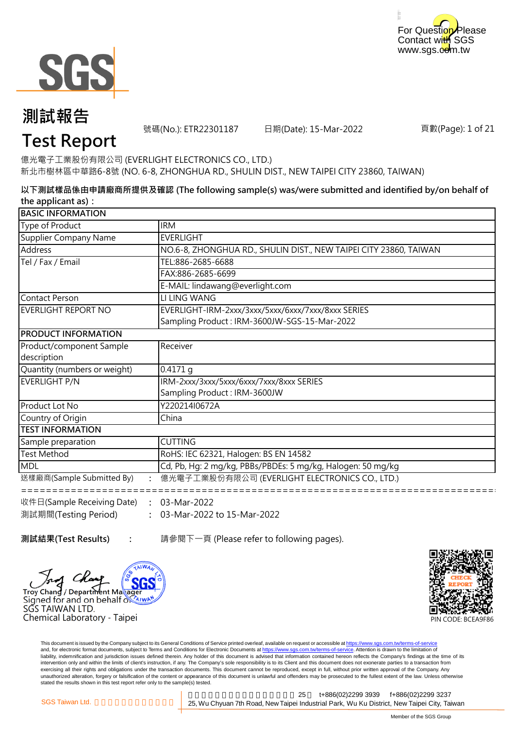



號碼(No.): ETR22301187 日期(Date): 15-Mar-2022

頁數(Page): 1 of 21

## **Test Report**

億光電子工業股份有限公司 (EVERLIGHT ELECTRONICS CO., LTD.) 新北市樹林區中華路6-8號 (NO. 6-8, ZHONGHUA RD., SHULIN DIST., NEW TAIPEI CITY 23860, TAIWAN)

**以下測試樣品係由申請廠商所提供及確認 (The following sample(s) was/were submitted and identified by/on behalf of the applicant as):**

| <b>BASIC INFORMATION</b>                |                                                                                                    |  |
|-----------------------------------------|----------------------------------------------------------------------------------------------------|--|
| Type of Product                         | <b>IRM</b>                                                                                         |  |
| Supplier Company Name                   | <b>EVERLIGHT</b>                                                                                   |  |
| Address                                 | NO.6-8, ZHONGHUA RD., SHULIN DIST., NEW TAIPEI CITY 23860, TAIWAN                                  |  |
| Tel / Fax / Email                       | TEL:886-2685-6688                                                                                  |  |
|                                         | FAX:886-2685-6699                                                                                  |  |
|                                         | E-MAIL: lindawang@everlight.com                                                                    |  |
| <b>Contact Person</b>                   | LI LING WANG                                                                                       |  |
| EVERLIGHT REPORT NO                     | EVERLIGHT-IRM-2xxx/3xxx/5xxx/6xxx/7xxx/8xxx SERIES<br>Sampling Product: IRM-3600JW-SGS-15-Mar-2022 |  |
| <b>PRODUCT INFORMATION</b>              |                                                                                                    |  |
| Product/component Sample<br>description | Receiver                                                                                           |  |
| Quantity (numbers or weight)            | 0.4171q                                                                                            |  |
| EVERLIGHT P/N                           | IRM-2xxx/3xxx/5xxx/6xxx/7xxx/8xxx SERIES<br>Sampling Product: IRM-3600JW                           |  |
| Product Lot No                          | Y220214I0672A                                                                                      |  |
| Country of Origin                       | China                                                                                              |  |
| <b>TEST INFORMATION</b>                 |                                                                                                    |  |
| Sample preparation                      | <b>CUTTING</b>                                                                                     |  |
| <b>Test Method</b>                      | RoHS: IEC 62321, Halogen: BS EN 14582                                                              |  |
| <b>MDL</b>                              | Cd, Pb, Hg: 2 mg/kg, PBBs/PBDEs: 5 mg/kg, Halogen: 50 mg/kg                                        |  |
| 送樣廠商(Sample Submitted By)               | 億光電子工業股份有限公司 (EVERLIGHT ELECTRONICS CO., LTD.)                                                     |  |
| 收件日(Sample Receiving Date)              | 03-Mar-2022                                                                                        |  |

**: :** 03-Mar-2022 to 15-Mar-2022 收件日(Sample Receiving Date) 測試期間(Testing Period) 03-Mar-2022

**測試結果(Test Results) :** 請參閱下一頁 (Please refer to following pages).

Chano

SĞS TAIWAN LTD.

Signed for and on behalf or AIWA

Chemical Laboratory - Taipei

/ Department Maxager



This document is issued by the Company subject to its General Conditions of Service printed overleaf, available on request or accessible at https://www.sgs.com.tw/terms-of-service and, for electronic format documents, subject to Terms and Conditions for Electronic Documents at https://www.sgs.com.tw/terms-of-service. Attention is drawn to the limitation of liability, indemnification and jurisdiction issues defined therein. Any holder of this document is advised that information contained hereon reflects the Company's findings at the time of its intervention only and within the limits of client's instruction, if any. The Company's sole responsibility is to its Client and this document does not exonerate parties to a transaction from exercising all their rights and obligations under the transaction documents. This document cannot be reproduced, except in full, without prior written approval of the Company. Any<br>unauthorized alteration, forgery or falsif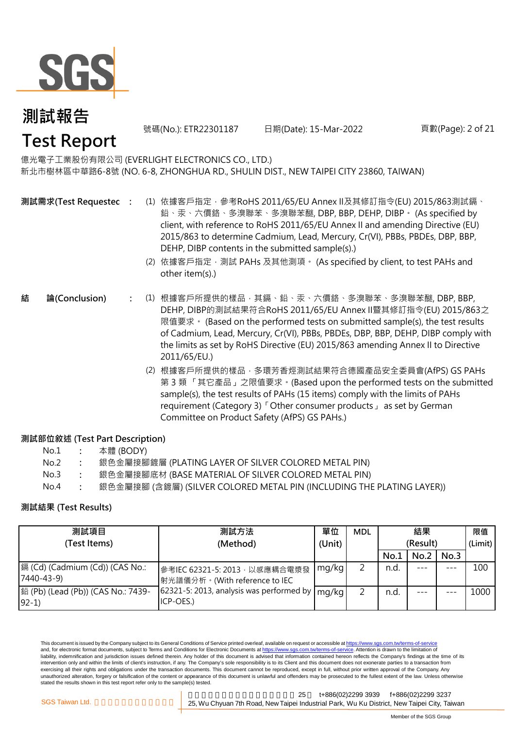

號碼(No.): ETR22301187 日期(Date): 15-Mar-2022 頁數(Page): 2 of 21

## **Test Report**

億光電子工業股份有限公司 (EVERLIGHT ELECTRONICS CO., LTD.) 新北市樹林區中華路6-8號 (NO. 6-8, ZHONGHUA RD., SHULIN DIST., NEW TAIPEI CITY 23860, TAIWAN)

- **測試需求(Test Requested)**
- **:** (1) 依據客戶指定,參考RoHS 2011/65/EU Annex II及其修訂指令(EU) 2015/863測試鎘、 鉛、汞、六價鉻、多溴聯苯、多溴聯苯醚, DBP, BBP, DEHP, DIBP。 (As specified by client, with reference to RoHS 2011/65/EU Annex II and amending Directive (EU) 2015/863 to determine Cadmium, Lead, Mercury, Cr(VI), PBBs, PBDEs, DBP, BBP, DEHP, DIBP contents in the submitted sample(s).)
	- (2) 依據客戶指定,測試 PAHs 及其他測項。 (As specified by client, to test PAHs and other item(s).)
- **:** (1) 根據客戶所提供的樣品,其鎘、鉛、汞、六價鉻、多溴聯苯、多溴聯苯醚, DBP, BBP, **結 論(Conclusion)** DEHP, DIBP的測試結果符合RoHS 2011/65/EU Annex II暨其修訂指令(EU) 2015/863之 限值要求。 (Based on the performed tests on submitted sample(s), the test results of Cadmium, Lead, Mercury, Cr(VI), PBBs, PBDEs, DBP, BBP, DEHP, DIBP comply with the limits as set by RoHS Directive (EU) 2015/863 amending Annex II to Directive 2011/65/EU.)
	- (2) 根據客戶所提供的樣品,多環芳香烴測試結果符合德國產品安全委員會(AfPS) GS PAHs 第 3 類 「其它產品」之限值要求。(Based upon the performed tests on the submitted sample(s), the test results of PAHs (15 items) comply with the limits of PAHs requirement (Category 3)「Other consumer products」 as set by German Committee on Product Safety (AfPS) GS PAHs.)

### **測試部位敘述 (Test Part Description)**

| No.1 | 本體 (BODY) |
|------|-----------|
|------|-----------|

- No.2 **:** 銀色金屬接腳鍍層 (PLATING LAYER OF SILVER COLORED METAL PIN)
- No.3 **:** 銀色金屬接腳底材 (BASE MATERIAL OF SILVER COLORED METAL PIN)
- No.4 **:** 銀色金屬接腳 (含鍍層) (SILVER COLORED METAL PIN (INCLUDING THE PLATING LAYER))

### **測試結果 (Test Results)**

| 測試項目                                          | 測試方法                                                            | 單位     | <b>MDL</b> | 結果       |      |         | 限值   |
|-----------------------------------------------|-----------------------------------------------------------------|--------|------------|----------|------|---------|------|
| (Test Items)                                  | (Method)                                                        | (Unit) |            | (Result) |      | (Limit) |      |
|                                               |                                                                 |        |            | No.1     | No.2 | No.3    |      |
| 鎘 (Cd) (Cadmium (Cd)) (CAS No.:<br>7440-43-9) | 參考IEC 62321-5: 2013, 以感應耦合電漿發<br> 射光譜儀分析。(With reference to IEC | mg/kg  |            | n.d.     |      | ---     | 100  |
| 鉛 (Pb) (Lead (Pb)) (CAS No.: 7439-<br>$92-1)$ | 62321-5: 2013, analysis was performed by<br>ICP-OES.)           | mg/kg  |            | n.d.     |      |         | 1000 |

This document is issued by the Company subject to its General Conditions of Service printed overleaf, available on request or accessible at https://www.sgs.com.tw/terms-of-service and, for electronic format documents, subject to Terms and Conditions for Electronic Documents at https://www.sgs.com.tw/terms-of-service. Attention is drawn to the limitation of liability, indemnification and jurisdiction issues defined therein. Any holder of this document is advised that information contained hereon reflects the Company's findings at the time of its intervention only and within the limits of client's instruction, if any. The Company's sole responsibility is to its Client and this document does not exonerate parties to a transaction from exercising all their rights and obligations under the transaction documents. This document cannot be reproduced, except in full, without prior written approval of the Company. Any unauthorized alteration, forgery or falsification of the content or appearance of this document is unlawful and offenders may be prosecuted to the fullest extent of the law. Unless otherwise stated the results shown in this test report refer only to the sample(s) tested.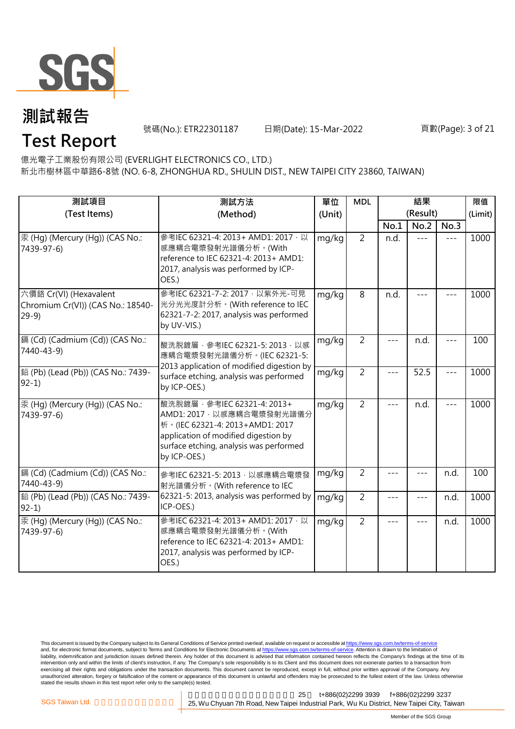

號碼(No.): ETR22301187 日期(Date): 15-Mar-2022 頁數(Page): 3 of 21

## **Test Report**

億光電子工業股份有限公司 (EVERLIGHT ELECTRONICS CO., LTD.)

新北市樹林區中華路6-8號 (NO. 6-8, ZHONGHUA RD., SHULIN DIST., NEW TAIPEI CITY 23860, TAIWAN)

| 測試項目<br>(Test Items)                                                  | 測試方法<br>(Method)                                                                                                                                                                                  | 單位<br>(Unit) | <b>MDL</b>     |       | 結果<br>(Result) |               | 限值<br>(Limit) |
|-----------------------------------------------------------------------|---------------------------------------------------------------------------------------------------------------------------------------------------------------------------------------------------|--------------|----------------|-------|----------------|---------------|---------------|
|                                                                       |                                                                                                                                                                                                   |              |                | No.1  | No.2           | No.3          |               |
| 汞 (Hg) (Mercury (Hg)) (CAS No.:<br>7439-97-6)                         | 參考IEC 62321-4: 2013+ AMD1: 2017 · 以<br>感應耦合電漿發射光譜儀分析。(With<br>reference to IEC 62321-4: 2013+ AMD1:<br>2017, analysis was performed by ICP-<br>OES.)                                              | mg/kg        | $\overline{2}$ | n.d.  | $- - -$        | $---$         | 1000          |
| 六價鉻 Cr(VI) (Hexavalent<br>Chromium Cr(VI)) (CAS No.: 18540-<br>$29-9$ | 參考IEC 62321-7-2: 2017 · 以紫外光-可見<br>光分光光度計分析。(With reference to IEC<br>62321-7-2: 2017, analysis was performed<br>by UV-VIS.)                                                                      | mg/kg        | 8              | n.d.  |                |               | 1000          |
| 鎘 (Cd) (Cadmium (Cd)) (CAS No.:<br>7440-43-9)                         | mg/kg<br>酸洗脫鍍層, 參考IEC 62321-5: 2013, 以感<br>應耦合電漿發射光譜儀分析。(IEC 62321-5:                                                                                                                             |              | $\overline{2}$ |       | n.d.           |               | 100           |
| 鉛 (Pb) (Lead (Pb)) (CAS No.: 7439-<br>$92-1)$                         | 2013 application of modified digestion by<br>surface etching, analysis was performed<br>by ICP-OES.)                                                                                              | mg/kg        | $\overline{2}$ | $---$ | 52.5           | $\frac{1}{2}$ | 1000          |
| 汞 (Hg) (Mercury (Hg)) (CAS No.:<br>7439-97-6)                         | 酸洗脫鍍層, 參考IEC 62321-4: 2013+<br>AMD1: 2017 · 以感應耦合電漿發射光譜儀分<br>桥 · (IEC 62321-4: 2013+AMD1: 2017<br>application of modified digestion by<br>surface etching, analysis was performed<br>by ICP-OES.) | mg/kg        | $\overline{2}$ | $---$ | n.d.           | $- - -$       | 1000          |
| 鎘 (Cd) (Cadmium (Cd)) (CAS No.:<br>7440-43-9)                         | 參考IEC 62321-5: 2013, 以感應耦合電漿發<br>射光譜儀分析。(With reference to IEC                                                                                                                                    | mg/kg        | $\overline{2}$ |       | $- - -$        | n.d.          | 100           |
| 鉛 (Pb) (Lead (Pb)) (CAS No.: 7439-<br>$92-1$                          | 62321-5: 2013, analysis was performed by<br>ICP-OES.)                                                                                                                                             | mg/kg        | $\overline{2}$ | ---   | $---$          | n.d.          | 1000          |
| 汞 (Hg) (Mercury (Hg)) (CAS No.:<br>7439-97-6)                         | 參考IEC 62321-4: 2013+ AMD1: 2017 · 以<br>感應耦合電漿發射光譜儀分析。(With<br>reference to IEC 62321-4: 2013+ AMD1:<br>2017, analysis was performed by ICP-<br>OES.)                                              | mg/kg        | $\overline{2}$ | $---$ | $- - -$        | n.d.          | 1000          |

This document is issued by the Company subject to its General Conditions of Service printed overleaf, available on request or accessible at <u>https://www.sgs.com.tw/terms-of-service</u><br>and, for electronic format documents, su liability, indemnification and jurisdiction issues defined therein. Any holder of this document is advised that information contained hereon reflects the Company's findings at the time of its intervention only and within the limits of client's instruction, if any. The Company's sole responsibility is to its Client and this document does not exonerate parties to a transaction from exercising all their rights and obligations under the transaction documents. This document cannot be reproduced, except in full, without prior written approval of the Company. Any<br>unauthorized alteration, forgery or falsif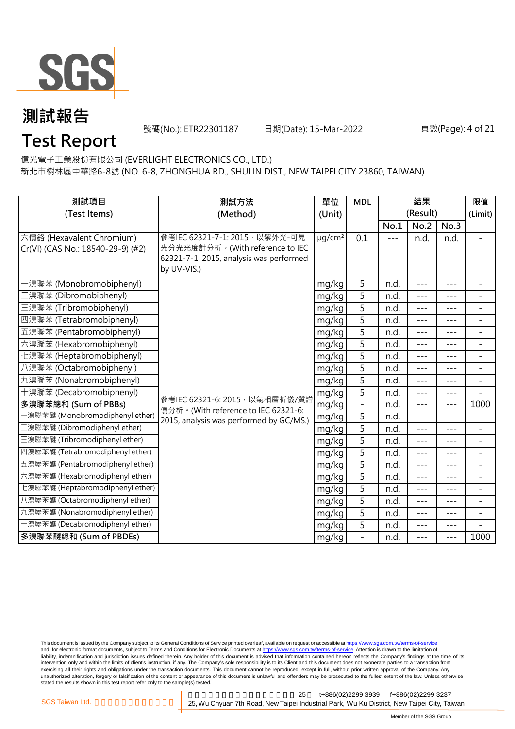

號碼(No.): ETR22301187 日期(Date): 15-Mar-2022 頁數(Page): 4 of 21

## **Test Report**

億光電子工業股份有限公司 (EVERLIGHT ELECTRONICS CO., LTD.)

新北市樹林區中華路6-8號 (NO. 6-8, ZHONGHUA RD., SHULIN DIST., NEW TAIPEI CITY 23860, TAIWAN)

| 測試項目<br>測試方法<br>(Test Items)<br>(Method)                       |                                                                                                                              | 單位<br>(Unit)            | <b>MDL</b>        | 結果<br>(Result) |         |         | 限值<br>(Limit)            |
|----------------------------------------------------------------|------------------------------------------------------------------------------------------------------------------------------|-------------------------|-------------------|----------------|---------|---------|--------------------------|
|                                                                |                                                                                                                              |                         |                   | No.1           | No.2    | No.3    |                          |
| 六價鉻 (Hexavalent Chromium)<br>Cr(VI) (CAS No.: 18540-29-9) (#2) | 參考IEC 62321-7-1: 2015 · 以紫外光-可見<br>光分光光度計分析。(With reference to IEC<br>62321-7-1: 2015, analysis was performed<br>by UV-VIS.) | $\mu$ g/cm <sup>2</sup> | 0.1               | $---$          | n.d.    | n.d.    | L.                       |
| ·溴聯苯 (Monobromobiphenyl)                                       |                                                                                                                              | mg/kg                   | 5                 | n.d.           | $---$   | $---$   | $\blacksquare$           |
| [溴聯苯 (Dibromobiphenyl)                                         |                                                                                                                              | mg/kg                   | 5                 | n.d.           | $- - -$ | ---     | $\overline{\phantom{0}}$ |
| 三溴聯苯 (Tribromobiphenyl)                                        |                                                                                                                              | mg/kg                   | 5                 | n.d.           | $- - -$ | ---     | $\overline{\phantom{a}}$ |
| 四溴聯苯 (Tetrabromobiphenyl)                                      |                                                                                                                              | mg/kg                   | 5                 | n.d.           | $---$   | ---     | $\overline{a}$           |
| 五溴聯苯 (Pentabromobiphenyl)                                      |                                                                                                                              | mg/kg                   | $\overline{5}$    | n.d.           | $---$   | $---$   | $\overline{a}$           |
| 六溴聯苯 (Hexabromobiphenyl)                                       |                                                                                                                              | mg/kg                   | 5                 | n.d.           | $---$   | $---$   | -                        |
| 七溴聯苯 (Heptabromobiphenyl)                                      |                                                                                                                              | mg/kg                   | 5                 | n.d.           | ---     |         | $\overline{a}$           |
| 八溴聯苯 (Octabromobiphenyl)                                       |                                                                                                                              | mg/kg                   | 5                 | n.d.           | $- - -$ | $---$   | $\bar{ }$                |
| 九溴聯苯 (Nonabromobiphenyl)                                       |                                                                                                                              | mg/kg                   | 5                 | n.d.           | $- - -$ | $- - -$ | $\overline{\phantom{a}}$ |
| 十溴聯苯 (Decabromobiphenyl)                                       |                                                                                                                              | mg/kg                   | 5                 | n.d.           | $---$   | $- - -$ | $\overline{a}$           |
| 多溴聯苯總和 (Sum of PBBs)                                           | 參考IEC 62321-6: 2015, 以氣相層析儀/質譜<br>儀分析。(With reference to IEC 62321-6:                                                        | mg/kg                   | $\bar{ }$         | n.d.           | $---$   | $---$   | 1000                     |
| -溴聯苯醚 (Monobromodiphenyl ether)                                | 2015, analysis was performed by GC/MS.)                                                                                      | mg/kg                   | 5                 | n.d.           | $- - -$ | ---     | $\overline{\phantom{0}}$ |
| [溴聯苯醚 (Dibromodiphenyl ether)                                  |                                                                                                                              | mg/kg                   | 5                 | n.d.           | $---$   | $---$   | $\overline{\phantom{a}}$ |
| 三溴聯苯醚 (Tribromodiphenyl ether)                                 |                                                                                                                              | mg/kg                   | 5                 | n.d.           | $---$   | $---$   | $\overline{a}$           |
| 四溴聯苯醚 (Tetrabromodiphenyl ether)                               |                                                                                                                              | mg/kg                   | 5                 | n.d.           | $- - -$ | $---$   | $\bar{ }$                |
| 五溴聯苯醚 (Pentabromodiphenyl ether)                               |                                                                                                                              | mg/kg                   | 5                 | n.d.           | $- - -$ | $- - -$ | $\overline{\phantom{0}}$ |
| 六溴聯苯醚 (Hexabromodiphenyl ether)                                |                                                                                                                              | mg/kg                   | 5                 | n.d.           | $ -$    | $---$   | $\overline{a}$           |
| 七溴聯苯醚 (Heptabromodiphenyl ether)                               |                                                                                                                              | mg/kg                   | 5                 | n.d.           | $---$   | $---$   | $\overline{\phantom{a}}$ |
| 八溴聯苯醚 (Octabromodiphenyl ether)                                |                                                                                                                              | mg/kg                   | 5                 | n.d.           | $---$   | $---$   | $\overline{\phantom{0}}$ |
| 九溴聯苯醚 (Nonabromodiphenyl ether)                                |                                                                                                                              | mg/kg                   | 5                 | n.d.           | $---$   | $---$   | $\overline{a}$           |
| 十溴聯苯醚 (Decabromodiphenyl ether)                                |                                                                                                                              | mg/kg                   | 5                 | n.d.           | ---     | ---     |                          |
| 多溴聯苯醚總和 (Sum of PBDEs)                                         |                                                                                                                              | mg/kg                   | $\qquad \qquad -$ | n.d.           | $---$   | ---     | 1000                     |

This document is issued by the Company subject to its General Conditions of Service printed overleaf, available on request or accessible at <u>https://www.sgs.com.tw/terms-of-service</u><br>and, for electronic format documents, su liability, indemnification and jurisdiction issues defined therein. Any holder of this document is advised that information contained hereon reflects the Company's findings at the time of its intervention only and within the limits of client's instruction, if any. The Company's sole responsibility is to its Client and this document does not exonerate parties to a transaction from exercising all their rights and obligations under the transaction documents. This document cannot be reproduced, except in full, without prior written approval of the Company. Any<br>unauthorized alteration, forgery or falsif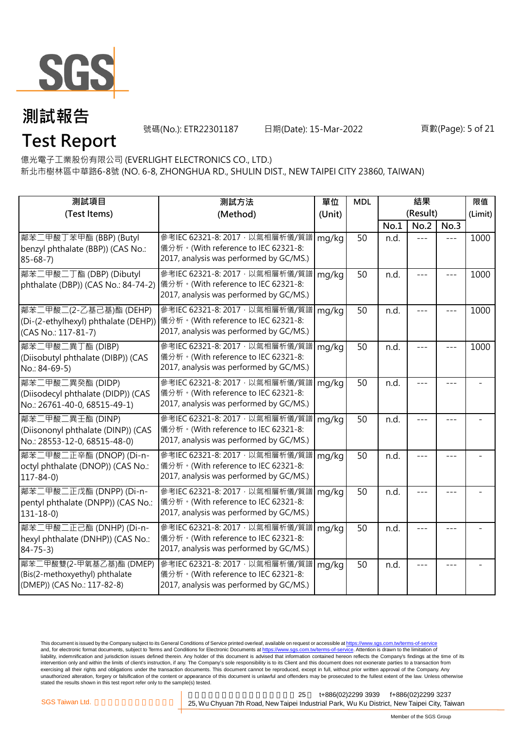

號碼(No.): ETR22301187 日期(Date): 15-Mar-2022 頁數(Page): 5 of 21

億光電子工業股份有限公司 (EVERLIGHT ELECTRONICS CO., LTD.) **Test Report**

新北市樹林區中華路6-8號 (NO. 6-8, ZHONGHUA RD., SHULIN DIST., NEW TAIPEI CITY 23860, TAIWAN)

| 測試項目                                                                                     | 測試方法                                                                                                                      | 單位     | <b>MDL</b> | 結果       |         |       | 限值      |
|------------------------------------------------------------------------------------------|---------------------------------------------------------------------------------------------------------------------------|--------|------------|----------|---------|-------|---------|
| (Test Items)                                                                             | (Method)                                                                                                                  | (Unit) |            | (Result) |         |       | (Limit) |
|                                                                                          |                                                                                                                           |        |            | No.1     | No.2    | No.3  |         |
| 鄰苯二甲酸丁苯甲酯 (BBP) (Butyl<br>benzyl phthalate (BBP)) (CAS No.:<br>$85 - 68 - 7$             | 參考IEC 62321-8: 2017, 以氣相層析儀/質譜<br>儀分析。(With reference to IEC 62321-8:<br>2017, analysis was performed by GC/MS.)          | mg/kg  | 50         | n.d.     | $= -$   | $---$ | 1000    |
| 鄰苯二甲酸二丁酯 (DBP) (Dibutyl<br>phthalate (DBP)) (CAS No.: 84-74-2)                           | 參考IEC 62321-8: 2017 · 以氣相層析儀/質譜   mg/kg<br>儀分析。(With reference to IEC 62321-8:<br>2017, analysis was performed by GC/MS.) |        | 50         | n.d.     |         |       | 1000    |
| 鄰苯二甲酸二(2-乙基己基)酯 (DEHP)<br>(Di-(2-ethylhexyl) phthalate (DEHP))<br>(CAS No.: 117-81-7)    | 參考IEC 62321-8: 2017 · 以氣相層析儀/質譜<br> 儀分析。(With reference to IEC 62321-8:<br>2017, analysis was performed by GC/MS.)        | mg/kg  | 50         | n.d.     |         |       | 1000    |
| 鄰苯二甲酸二異丁酯 (DIBP)<br>(Diisobutyl phthalate (DIBP)) (CAS<br>No.: 84-69-5)                  | 參考IEC 62321-8: 2017, 以氣相層析儀/質譜<br>儀分析。(With reference to IEC 62321-8:<br>2017, analysis was performed by GC/MS.)          | mg/kg  | 50         | n.d.     | $- - -$ |       | 1000    |
| 鄰苯二甲酸二異癸酯 (DIDP)<br>(Diisodecyl phthalate (DIDP)) (CAS<br>No.: 26761-40-0, 68515-49-1)   | 參考IEC 62321-8: 2017, 以氣相層析儀/質譜<br>儀分析。(With reference to IEC 62321-8:<br>2017, analysis was performed by GC/MS.)          | mg/kg  | 50         | n.d.     | ---     |       |         |
| 鄰苯二甲酸二異壬酯 (DINP)<br>(Diisononyl phthalate (DINP)) (CAS<br>No.: 28553-12-0, 68515-48-0)   | 參考IEC 62321-8: 2017, 以氣相層析儀/質譜<br>儀分析。(With reference to IEC 62321-8:<br>2017, analysis was performed by GC/MS.)          | mg/kg  | 50         | n.d.     |         |       |         |
| 鄰苯二甲酸二正辛酯 (DNOP) (Di-n-<br>octyl phthalate (DNOP)) (CAS No.:<br>$117 - 84 - 0$           | 參考IEC 62321-8: 2017, 以氣相層析儀/質譜<br>儀分析。(With reference to IEC 62321-8:<br>2017, analysis was performed by GC/MS.)          | mg/kg  | 50         | n.d.     |         |       |         |
| 鄰苯二甲酸二正戊酯 (DNPP) (Di-n-<br>pentyl phthalate (DNPP)) (CAS No.:<br>$131 - 18 - 0$          | 參考IEC 62321-8: 2017, 以氣相層析儀/質譜<br>儀分析。(With reference to IEC 62321-8:<br>2017, analysis was performed by GC/MS.)          | mg/kg  | 50         | n.d.     |         |       |         |
| 鄰苯二甲酸二正己酯 (DNHP) (Di-n-<br>hexyl phthalate (DNHP)) (CAS No.:<br>$84 - 75 - 3$            | 參考IEC 62321-8: 2017, 以氣相層析儀/質譜<br>儀分析。(With reference to IEC 62321-8:<br>2017, analysis was performed by GC/MS.)          | mg/kg  | 50         | n.d.     |         |       |         |
| 鄰苯二甲酸雙(2-甲氧基乙基)酯 (DMEP)<br>(Bis(2-methoxyethyl) phthalate<br>(DMEP)) (CAS No.: 117-82-8) | 參考IEC 62321-8: 2017, 以氣相層析儀/質譜<br>儀分析。(With reference to IEC 62321-8:<br>2017, analysis was performed by GC/MS.)          | mg/kg  | 50         | n.d.     |         |       |         |

This document is issued by the Company subject to its General Conditions of Service printed overleaf, available on request or accessible at <u>https://www.sgs.com.tw/terms-of-service</u><br>and, for electronic format documents, su liability, indemnification and jurisdiction issues defined therein. Any holder of this document is advised that information contained hereon reflects the Company's findings at the time of its intervention only and within the limits of client's instruction, if any. The Company's sole responsibility is to its Client and this document does not exonerate parties to a transaction from exercising all their rights and obligations under the transaction documents. This document cannot be reproduced, except in full, without prior written approval of the Company. Any<br>unauthorized alteration, forgery or falsif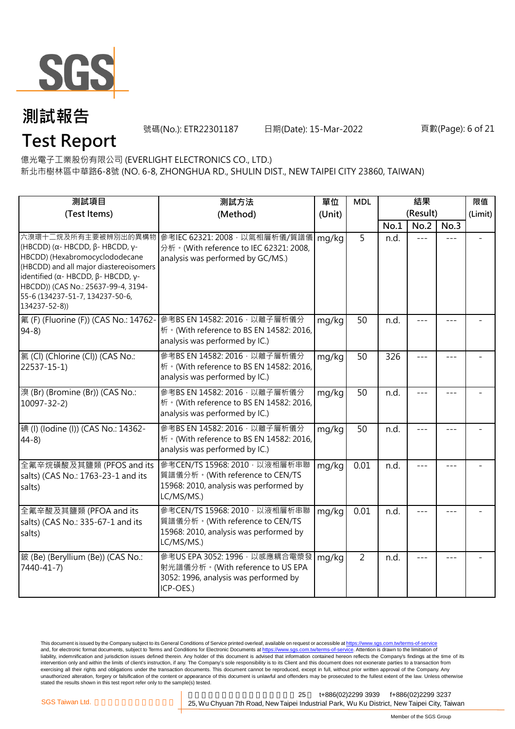

號碼(No.): ETR22301187 日期(Date): 15-Mar-2022 頁數(Page): 6 of 21

## **Test Report**

億光電子工業股份有限公司 (EVERLIGHT ELECTRONICS CO., LTD.)

新北市樹林區中華路6-8號 (NO. 6-8, ZHONGHUA RD., SHULIN DIST., NEW TAIPEI CITY 23860, TAIWAN)

| 測試項目                                                                                                                                                                                                                                                                                                        | 測試方法                                                                                                                      | 單位     | <b>MDL</b>     | 結果       |         | 限值      |         |
|-------------------------------------------------------------------------------------------------------------------------------------------------------------------------------------------------------------------------------------------------------------------------------------------------------------|---------------------------------------------------------------------------------------------------------------------------|--------|----------------|----------|---------|---------|---------|
| (Test Items)                                                                                                                                                                                                                                                                                                | (Method)                                                                                                                  | (Unit) |                | (Result) |         |         | (Limit) |
|                                                                                                                                                                                                                                                                                                             |                                                                                                                           |        |                | No.1     | No.2    | No.3    |         |
| 六溴環十二烷及所有主要被辨別出的異構物<br>(HBCDD) ( $\alpha$ - HBCDD, $\beta$ - HBCDD, γ-<br>HBCDD) (Hexabromocyclododecane<br>(HBCDD) and all major diastereoisomers<br>identified ( $\alpha$ - HBCDD, $\beta$ - HBCDD, $\gamma$ -<br>HBCDD)) (CAS No.: 25637-99-4, 3194-<br>55-6 (134237-51-7, 134237-50-6,<br>134237-52-8)) | 參考IEC 62321: 2008, 以氣相層析儀/質譜儀<br>分析。(With reference to IEC 62321: 2008,<br>analysis was performed by GC/MS.)              | mg/kg  | $\overline{5}$ | n.d.     | $---$   |         |         |
| 氟 (F) (Fluorine (F)) (CAS No.: 14762-<br>$94-8$                                                                                                                                                                                                                                                             | 參考BS EN 14582: 2016, 以離子層析儀分<br>析 · (With reference to BS EN 14582: 2016,<br>analysis was performed by IC.)               | mg/kg  | 50             | n.d.     |         |         |         |
| 氯(Cl) (Chlorine (Cl)) (CAS No.:<br>22537-15-1)                                                                                                                                                                                                                                                              | 參考BS EN 14582: 2016 · 以離子層析儀分<br>析 · (With reference to BS EN 14582: 2016,<br>analysis was performed by IC.)              | mg/kg  | 50             | 326      |         |         |         |
| 溴 (Br) (Bromine (Br)) (CAS No.:<br>10097-32-2)                                                                                                                                                                                                                                                              | 參考BS EN 14582: 2016 · 以離子層析儀分<br>析 · (With reference to BS EN 14582: 2016,<br>analysis was performed by IC.)              | mg/kg  | 50             | n.d.     |         | $- - -$ |         |
| 碘 (I) (Iodine (I)) (CAS No.: 14362-<br>$44-8$                                                                                                                                                                                                                                                               | 參考BS EN 14582: 2016 · 以離子層析儀分<br>析 · (With reference to BS EN 14582: 2016,<br>analysis was performed by IC.)              | mg/kg  | 50             | n.d.     | $- - -$ | $- - -$ |         |
| 全氟辛烷磺酸及其鹽類 (PFOS and its<br>salts) (CAS No.: 1763-23-1 and its<br>salts)                                                                                                                                                                                                                                    | 參考CEN/TS 15968: 2010 · 以液相層析串聯<br>質譜儀分析。(With reference to CEN/TS<br>15968: 2010, analysis was performed by<br>LC/MS/MS.) | mg/kg  | 0.01           | n.d.     | $- - -$ | $- - -$ |         |
| 全氟辛酸及其鹽類 (PFOA and its<br>salts) (CAS No.: 335-67-1 and its<br>salts)                                                                                                                                                                                                                                       | 參考CEN/TS 15968: 2010, 以液相層析串聯<br>質譜儀分析。(With reference to CEN/TS<br>15968: 2010, analysis was performed by<br>LC/MS/MS.)  | mg/kg  | 0.01           | n.d.     | $- - -$ | ---     |         |
| 鈹 (Be) (Beryllium (Be)) (CAS No.:<br>7440-41-7)                                                                                                                                                                                                                                                             | 參考US EPA 3052: 1996, 以感應耦合電漿發<br>射光譜儀分析。(With reference to US EPA<br>3052: 1996, analysis was performed by<br>ICP-OES.)   | mg/kg  | $\overline{2}$ | n.d.     | $- - -$ |         |         |

This document is issued by the Company subject to its General Conditions of Service printed overleaf, available on request or accessible at <u>https://www.sgs.com.tw/terms-of-service</u><br>and, for electronic format documents, su liability, indemnification and jurisdiction issues defined therein. Any holder of this document is advised that information contained hereon reflects the Company's findings at the time of its intervention only and within the limits of client's instruction, if any. The Company's sole responsibility is to its Client and this document does not exonerate parties to a transaction from exercising all their rights and obligations under the transaction documents. This document cannot be reproduced, except in full, without prior written approval of the Company. Any<br>unauthorized alteration, forgery or falsif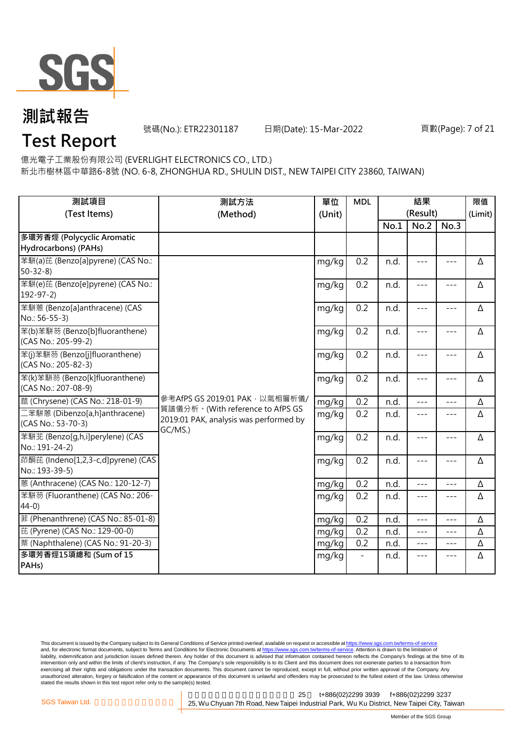

號碼(No.): ETR22301187 日期(Date): 15-Mar-2022 頁數(Page): 7 of 21

## **Test Report**

億光電子工業股份有限公司 (EVERLIGHT ELECTRONICS CO., LTD.)

新北市樹林區中華路6-8號 (NO. 6-8, ZHONGHUA RD., SHULIN DIST., NEW TAIPEI CITY 23860, TAIWAN)

| 測試項目<br>(Test Items)                                  | 測試方法<br>(Method)                                                                      | 單位<br>(Unit) | <b>MDL</b> | 結果<br>(Result) |                     |                     | 限值<br>(Limit) |
|-------------------------------------------------------|---------------------------------------------------------------------------------------|--------------|------------|----------------|---------------------|---------------------|---------------|
|                                                       |                                                                                       |              |            | No.1           | No.2                | No.3                |               |
| 多環芳香烴 (Polycyclic Aromatic<br>Hydrocarbons) (PAHs)    |                                                                                       |              |            |                |                     |                     |               |
| 苯駢(a)芘 (Benzo[a]pyrene) (CAS No.:<br>$50 - 32 - 8$    |                                                                                       | mg/kg        | 0.2        | n.d.           | $\frac{1}{2}$       | $\frac{1}{2}$       | Δ             |
| 苯駢(e)芘 (Benzo[e]pyrene) (CAS No.:<br>$192 - 97 - 2$   |                                                                                       | mg/kg        | 0.2        | n.d.           | $---$               | $---$               | Δ             |
| 苯駢蒽 (Benzo[a]anthracene) (CAS<br>No.: 56-55-3)        |                                                                                       | mg/kg        | 0.2        | n.d.           | $---$               | $- - -$             | Δ             |
| 苯(b)苯駢芴 (Benzo[b]fluoranthene)<br>(CAS No.: 205-99-2) |                                                                                       | mg/kg        | 0.2        | n.d.           | $\qquad \qquad - -$ | $\qquad \qquad - -$ | Δ             |
| 苯(j)苯駢芴 (Benzo[j]fluoranthene)<br>(CAS No.: 205-82-3) |                                                                                       | mg/kg        | 0.2        | n.d.           | $---$               | $---$               | Δ             |
| 苯(k)苯駢芴 (Benzo[k]fluoranthene)<br>(CAS No.: 207-08-9) |                                                                                       | mg/kg        | 0.2        | n.d.           | $---$               | $---$               | Δ             |
| 蔰 (Chrysene) (CAS No.: 218-01-9)                      | 參考AfPS GS 2019:01 PAK · 以氣相層析儀/                                                       | mg/kg        | 0.2        | n.d.           | $- - -$             | $---$               | Δ             |
| 二苯駢蒽 (Dibenzo[a,h]anthracene)<br>(CAS No.: 53-70-3)   | 質譜儀分析。(With reference to AfPS GS<br>2019:01 PAK, analysis was performed by<br>GC/MS.) | mg/kg        | 0.2        | n.d.           | $\frac{1}{2}$       | $\frac{1}{2}$       | Δ             |
| 苯駢芷 (Benzo[q,h,i]perylene) (CAS<br>No.: 191-24-2)     |                                                                                       | mg/kg        | 0.2        | n.d.           | $- - -$             | $---$               | Δ             |
| 茚酮芘 (Indeno[1,2,3-c,d]pyrene) (CAS<br>No.: 193-39-5)  |                                                                                       | mg/kg        | 0.2        | n.d.           | $---$               | $\qquad \qquad - -$ | Δ             |
| 蒽 (Anthracene) (CAS No.: 120-12-7)                    |                                                                                       | mg/kg        | 0.2        | n.d.           | $ -$                | ---                 | Δ             |
| 苯駢芴 (Fluoranthene) (CAS No.: 206-<br>$44-0$           |                                                                                       | mg/kg        | 0.2        | n.d.           | $- - -$             | $---$               | Δ             |
| 菲 (Phenanthrene) (CAS No.: 85-01-8)                   |                                                                                       | mg/kg        | 0.2        | n.d.           | $---$               | $---$               | Δ             |
| 芘 (Pyrene) (CAS No.: 129-00-0)                        |                                                                                       | mg/kg        | 0.2        | n.d.           | $\frac{1}{2}$       | $\frac{1}{2}$       | Δ             |
| 萘 (Naphthalene) (CAS No.: 91-20-3)                    |                                                                                       | mg/kg        | 0.2        | n.d.           | $\frac{1}{2}$       | $---$               | Δ             |
| 多環芳香烴15項總和 (Sum of 15<br>PAH <sub>s</sub> )           |                                                                                       | mg/kg        |            | n.d.           | $---$               | $---$               | Δ             |

This document is issued by the Company subject to its General Conditions of Service printed overleaf, available on request or accessible at <u>https://www.sgs.com.tw/terms-of-service</u><br>and, for electronic format documents, su liability, indemnification and jurisdiction issues defined therein. Any holder of this document is advised that information contained hereon reflects the Company's findings at the time of its intervention only and within the limits of client's instruction, if any. The Company's sole responsibility is to its Client and this document does not exonerate parties to a transaction from exercising all their rights and obligations under the transaction documents. This document cannot be reproduced, except in full, without prior written approval of the Company. Any<br>unauthorized alteration, forgery or falsif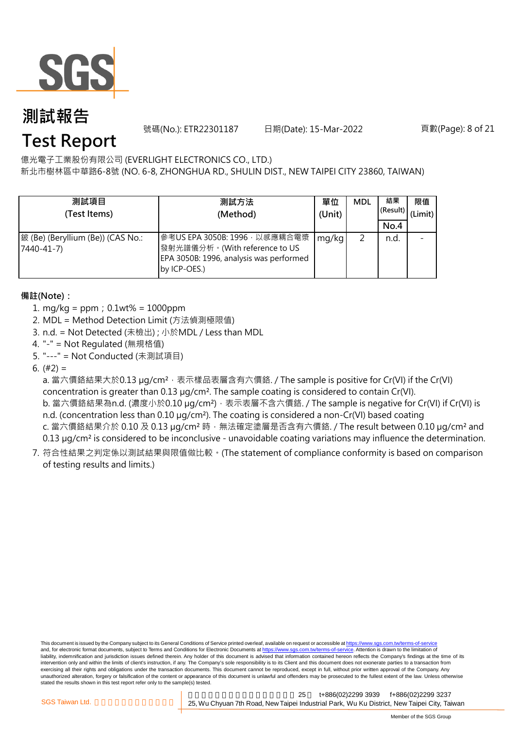

號碼(No.): ETR22301187 日期(Date): 15-Mar-2022 頁數(Page): 8 of 21

## **Test Report**

億光電子工業股份有限公司 (EVERLIGHT ELECTRONICS CO., LTD.)

新北市樹林區中華路6-8號 (NO. 6-8, ZHONGHUA RD., SHULIN DIST., NEW TAIPEI CITY 23860, TAIWAN)

| 測試項目<br>(Test Items)                            | 測試方法<br>(Method)                                                                                                          | 單位<br>(Unit) | <b>MDL</b> | 結果<br>(Result)<br>No.4 | 限值<br>(Limit) |
|-------------------------------------------------|---------------------------------------------------------------------------------------------------------------------------|--------------|------------|------------------------|---------------|
| 鈹 (Be) (Beryllium (Be)) (CAS No.:<br>7440-41-7) | 參考US EPA 3050B: 1996, 以感應耦合電漿<br>發射光譜儀分析。(With reference to US<br>EPA 3050B: 1996, analysis was performed<br>by ICP-OES.) | mg/kg        |            | n.d.                   |               |

### **備註(Note):**

- 1. mg/kg = ppm;0.1wt% = 1000ppm
- 2. MDL = Method Detection Limit (方法偵測極限值)
- 3. n.d. = Not Detected (未檢出) ; 小於MDL / Less than MDL
- 4. "-" = Not Regulated (無規格值)
- 5. "---" = Not Conducted (未測試項目)

6.  $(#2) =$ 

a. 當六價鉻結果大於0.13 µg/cm<sup>2,</sup> 表示樣品表層含有六價鉻. / The sample is positive for Cr(VI) if the Cr(VI) concentration is greater than 0.13 µg/cm². The sample coating is considered to contain Cr(VI).

b. 當六價鉻結果為n.d. (濃度小於0.10 μg/cm²),表示表層不含六價鉻. / The sample is negative for Cr(VI) if Cr(VI) is n.d. (concentration less than 0.10 µg/cm<sup>2</sup>). The coating is considered a non-Cr(VI) based coating c. 當六價鉻結果介於 0.10 及 0.13 µg/cm<sup>2</sup> 時, 無法確定塗層是否含有六價鉻. / The result between 0.10 µg/cm<sup>2</sup> and

0.13 µg/cm<sup>2</sup> is considered to be inconclusive - unavoidable coating variations may influence the determination.

7. 符合性結果之判定係以測試結果與限值做比較。(The statement of compliance conformity is based on comparison of testing results and limits.)

This document is issued by the Company subject to its General Conditions of Service printed overleaf, available on request or accessible at https://www.sgs.com.tw/terms-of-service and, for electronic format documents, subject to Terms and Conditions for Electronic Documents at https://www.sgs.com.tw/terms-of-service. Attention is drawn to the limitation of liability, indemnification and jurisdiction issues defined therein. Any holder of this document is advised that information contained hereon reflects the Company's findings at the time of its intervention only and within the limits of client's instruction, if any. The Company's sole responsibility is to its Client and this document does not exonerate parties to a transaction from exercising all their rights and obligations under the transaction documents. This document cannot be reproduced, except in full, without prior written approval of the Company. Any<br>unauthorized alteration, forgery or falsif stated the results shown in this test report refer only to the sample(s) tested.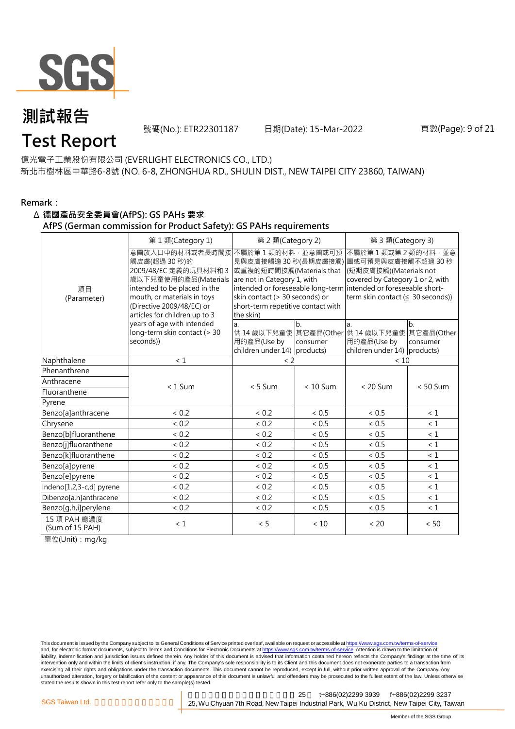

號碼(No.): ETR22301187 日期(Date): 15-Mar-2022 頁數(Page): 9 of 21

## **Test Report**

億光電子工業股份有限公司 (EVERLIGHT ELECTRONICS CO., LTD.) 新北市樹林區中華路6-8號 (NO. 6-8, ZHONGHUA RD., SHULIN DIST., NEW TAIPEI CITY 23860, TAIWAN)

#### **Remark:**

#### Δ **德國產品安全委員會(AfPS): GS PAHs 要求**

**AfPS (German commission for Product Safety): GS PAHs requirements**

|                                 | 第1類(Category 1)                                                                                                                                                              | 第 2 類(Category 2)<br>第 3 類(Category 3)                                                                                                              |                 |                                                                                                                                                                                                                                    |                              |  |
|---------------------------------|------------------------------------------------------------------------------------------------------------------------------------------------------------------------------|-----------------------------------------------------------------------------------------------------------------------------------------------------|-----------------|------------------------------------------------------------------------------------------------------------------------------------------------------------------------------------------------------------------------------------|------------------------------|--|
| 項目<br>(Parameter)               | 意圖放入口中的材料或者長時間接<br>觸皮膚(超過 30秒)的<br>2009/48/EC 定義的玩具材料和 3<br>歲以下兒童使用的產品(Materials<br>intended to be placed in the<br>mouth, or materials in toys<br>(Directive 2009/48/EC) or | 不屬於第1類的材料,並意圖或可預<br>或重複的短時間接觸(Materials that<br>are not in Category 1, with<br>skin contact (> 30 seconds) or<br>short-term repetitive contact with |                 | 不屬於第1類或第2類的材料,並意<br>見與皮膚接觸逾 30 秒(長期皮膚接觸) 圖或可預見與皮膚接觸不超過 30 秒<br>(短期皮膚接觸)(Materials not<br>covered by Category 1 or 2, with<br>intended or foreseeable long-term intended or foreseeable short-<br>term skin contact (≤ 30 seconds)) |                              |  |
|                                 | articles for children up to 3                                                                                                                                                | the skin)                                                                                                                                           |                 |                                                                                                                                                                                                                                    |                              |  |
|                                 | years of age with intended<br>long-term skin contact (> 30<br>seconds))                                                                                                      | a.<br>用的產品(Use by<br>children under 14) products)                                                                                                   | $b$<br>consumer | la.<br>供 14 歳以下兒童使 其它產品(Other 供 14 歳以下兒童使<br>用的產品(Use by<br>children under 14) products)                                                                                                                                           | b.<br>其它產品(Other<br>consumer |  |
| Naphthalene                     | $\leq 1$                                                                                                                                                                     | $\langle$ 2                                                                                                                                         |                 | < 10                                                                                                                                                                                                                               |                              |  |
| Phenanthrene                    |                                                                                                                                                                              |                                                                                                                                                     |                 |                                                                                                                                                                                                                                    |                              |  |
| Anthracene                      | $< 1$ Sum                                                                                                                                                                    | $< 5$ Sum                                                                                                                                           | $< 10$ Sum      | $< 20$ Sum                                                                                                                                                                                                                         | $< 50$ Sum                   |  |
| Fluoranthene                    |                                                                                                                                                                              |                                                                                                                                                     |                 |                                                                                                                                                                                                                                    |                              |  |
| Pyrene                          |                                                                                                                                                                              |                                                                                                                                                     |                 |                                                                                                                                                                                                                                    |                              |  |
| Benzo[a]anthracene              | < 0.2                                                                                                                                                                        | < 0.2                                                                                                                                               | < 0.5           | ~< 0.5                                                                                                                                                                                                                             | < 1                          |  |
| Chrysene                        | < 0.2                                                                                                                                                                        | < 0.2                                                                                                                                               | $< 0.5$         | ${}< 0.5$                                                                                                                                                                                                                          | $\leq 1$                     |  |
| Benzo[b]fluoranthene            | < 0.2                                                                                                                                                                        | < 0.2                                                                                                                                               | < 0.5           | < 0.5                                                                                                                                                                                                                              | $\leq 1$                     |  |
| Benzo[j]fluoranthene            | ${}< 0.2$                                                                                                                                                                    | ${}< 0.2$                                                                                                                                           | $< 0.5$         | ${}< 0.5$                                                                                                                                                                                                                          | < 1                          |  |
| Benzo[k]fluoranthene            | < 0.2                                                                                                                                                                        | < 0.2                                                                                                                                               | < 0.5           | < 0.5                                                                                                                                                                                                                              | $\leq 1$                     |  |
| Benzo[a]pyrene                  | < 0.2                                                                                                                                                                        | < 0.2                                                                                                                                               | < 0.5           | $\frac{1}{6}$ 0.5                                                                                                                                                                                                                  | $\leq 1$                     |  |
| Benzo[e]pyrene                  | < 0.2                                                                                                                                                                        | < 0.2                                                                                                                                               | $< 0.5$         | < 0.5                                                                                                                                                                                                                              | $\leq 1$                     |  |
| Indeno[1,2,3-c,d] pyrene        | < 0.2                                                                                                                                                                        | < 0.2                                                                                                                                               | < 0.5           | < 0.5                                                                                                                                                                                                                              | $\leq 1$                     |  |
| Dibenzo[a,h]anthracene          | ${}< 0.2$                                                                                                                                                                    | < 0.2                                                                                                                                               | < 0.5           | < 0.5                                                                                                                                                                                                                              | $\leq 1$                     |  |
| Benzo[g,h,i]perylene            | < 0.2                                                                                                                                                                        | < 0.2                                                                                                                                               | ~< 0.5          | ${}< 0.5$                                                                                                                                                                                                                          | $\leq 1$                     |  |
| 15 項 PAH 總濃度<br>(Sum of 15 PAH) | $\leq 1$                                                                                                                                                                     | < 5                                                                                                                                                 | < 10            | < 20                                                                                                                                                                                                                               | < 50                         |  |

單位(Unit):mg/kg

This document is issued by the Company subject to its General Conditions of Service printed overleaf, available on request or accessible at https://www.sgs.com.tw/terms-of-service and, for electronic format documents, subject to Terms and Conditions for Electronic Documents at https://www.sgs.com.tw/terms-of-service. Attention is drawn to the limitation of liability, indemnification and jurisdiction issues defined therein. Any holder of this document is advised that information contained hereon reflects the Company's findings at the time of its intervention only and within the limits of client's instruction, if any. The Company's sole responsibility is to its Client and this document does not exonerate parties to a transaction from exercising all their rights and obligations under the transaction documents. This document cannot be reproduced, except in full, without prior written approval of the Company. Any<br>unauthorized alteration, forgery or falsif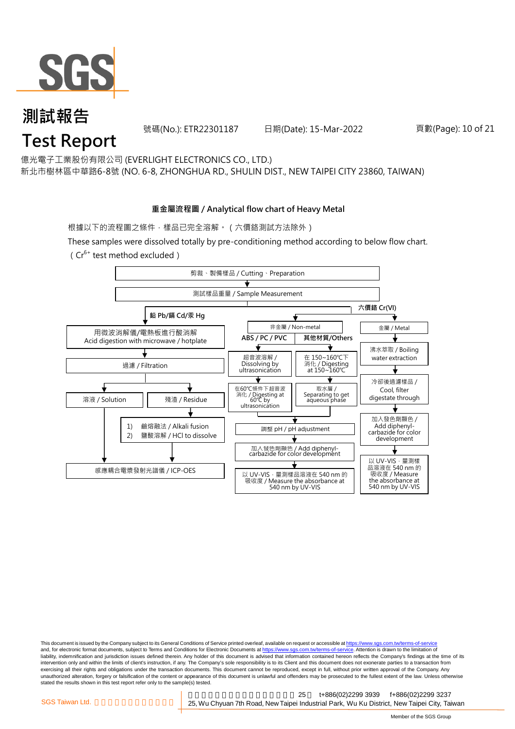

號碼(No.): ETR22301187 日期(Date): 15-Mar-2022 頁數(Page): 10 of 21

億光電子工業股份有限公司 (EVERLIGHT ELECTRONICS CO., LTD.)

新北市樹林區中華路6-8號 (NO. 6-8, ZHONGHUA RD., SHULIN DIST., NEW TAIPEI CITY 23860, TAIWAN)

#### **重金屬流程圖 / Analytical flow chart of Heavy Metal**

根據以下的流程圖之條件,樣品已完全溶解。(六價鉻測試方法除外)

These samples were dissolved totally by pre-conditioning method according to below flow chart.  $(Cr^{6+}$  test method excluded)



This document is issued by the Company subject to its General Conditions of Service printed overleaf, available on request or accessible at https://www.sgs.com.tw/terms-of-service and, for electronic format documents, subject to Terms and Conditions for Electronic Documents at https://www.sgs.com.tw/terms-of-service. Attention is drawn to the limitation of liability, indemnification and jurisdiction issues defined therein. Any holder of this document is advised that information contained hereon reflects the Company's findings at the time of its intervention only and within the limits of client's instruction, if any. The Company's sole responsibility is to its Client and this document does not exonerate parties to a transaction from exercising all their rights and obligations under the transaction documents. This document cannot be reproduced, except in full, without prior written approval of the Company. Any<br>unauthorized alteration, forgery or falsif stated the results shown in this test report refer only to the sample(s) tested.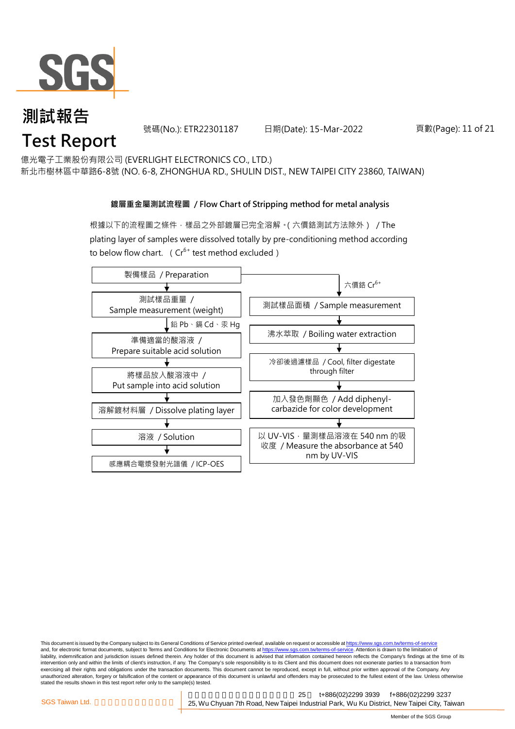

號碼(No.): ETR22301187 日期(Date): 15-Mar-2022 頁數(Page): 11 of 21

億光電子工業股份有限公司 (EVERLIGHT ELECTRONICS CO., LTD.)

新北市樹林區中華路6-8號 (NO. 6-8, ZHONGHUA RD., SHULIN DIST., NEW TAIPEI CITY 23860, TAIWAN)

#### **鍍層重金屬測試流程圖 / Flow Chart of Stripping method for metal analysis**

根據以下的流程圖之條件,樣品之外部鍍層已完全溶解。(六價鉻測試方法除外) / The plating layer of samples were dissolved totally by pre-conditioning method according to below flow chart. ( $Cr^{6+}$  test method excluded)



This document is issued by the Company subject to its General Conditions of Service printed overleaf, available on request or accessible at https://www.sgs.com.tw/terms-of-service and, for electronic format documents, subject to Terms and Conditions for Electronic Documents at https://www.sgs.com.tw/terms-of-service. Attention is drawn to the limitation of liability, indemnification and jurisdiction issues defined therein. Any holder of this document is advised that information contained hereon reflects the Company's findings at the time of its intervention only and within the limits of client's instruction, if any. The Company's sole responsibility is to its Client and this document does not exonerate parties to a transaction from exercising all their rights and obligations under the transaction documents. This document cannot be reproduced, except in full, without prior written approval of the Company. Any<br>unauthorized alteration, forgery or falsif stated the results shown in this test report refer only to the sample(s) tested.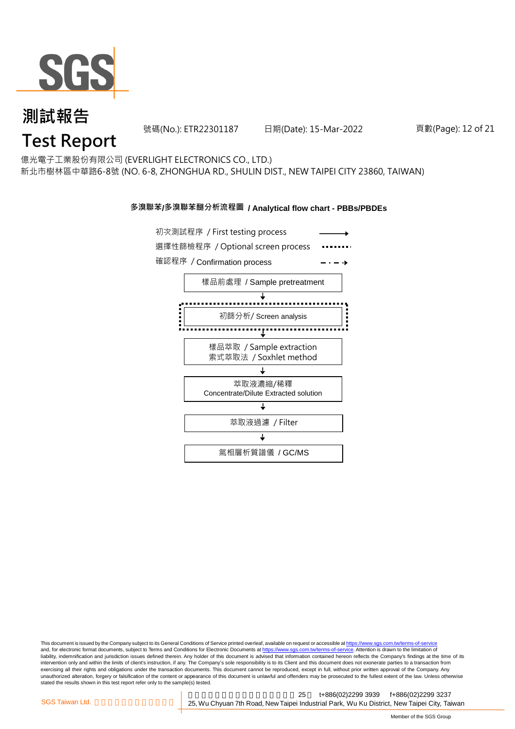

號碼(No.): ETR22301187 日期(Date): 15-Mar-2022 頁數(Page): 12 of 21

## 億光電子工業股份有限公司 (EVERLIGHT ELECTRONICS CO., LTD.)

新北市樹林區中華路6-8號 (NO. 6-8, ZHONGHUA RD., SHULIN DIST., NEW TAIPEI CITY 23860, TAIWAN)

#### **多溴聯苯/多溴聯苯醚分析流程圖 / Analytical flow chart - PBBs/PBDEs**



This document is issued by the Company subject to its General Conditions of Service printed overleaf, available on request or accessible at https://www.sgs.com.tw/terms-of-service and, for electronic format documents, subject to Terms and Conditions for Electronic Documents at https://www.sgs.com.tw/terms-of-service. Attention is drawn to the limitation of liability, indemnification and jurisdiction issues defined therein. Any holder of this document is advised that information contained hereon reflects the Company's findings at the time of its intervention only and within the limits of client's instruction, if any. The Company's sole responsibility is to its Client and this document does not exonerate parties to a transaction from exercising all their rights and obligations under the transaction documents. This document cannot be reproduced, except in full, without prior written approval of the Company. Any<br>unauthorized alteration, forgery or falsif stated the results shown in this test report refer only to the sample(s) tested.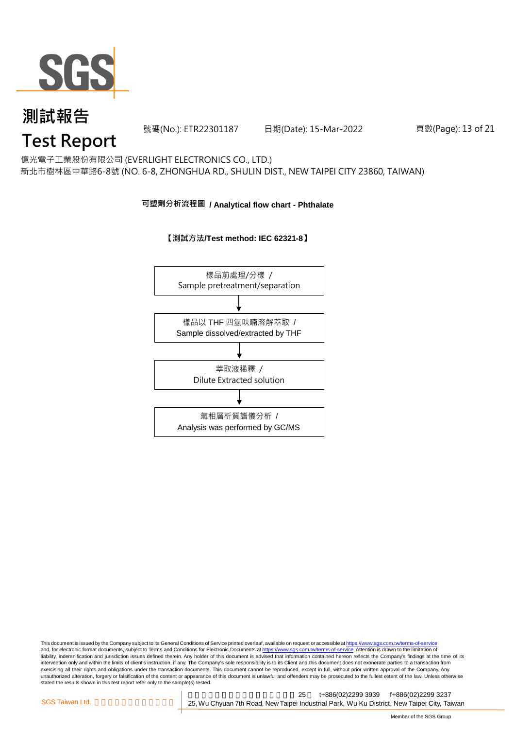

號碼(No.): ETR22301187 日期(Date): 15-Mar-2022 頁數(Page): 13 of 21

## **Test Report**

億光電子工業股份有限公司 (EVERLIGHT ELECTRONICS CO., LTD.) 新北市樹林區中華路6-8號 (NO. 6-8, ZHONGHUA RD., SHULIN DIST., NEW TAIPEI CITY 23860, TAIWAN)

#### **可塑劑分析流程圖 / Analytical flow chart - Phthalate**





This document is issued by the Company subject to its General Conditions of Service printed overleaf, available on request or accessible at <u>https://www.sgs.com.tw/terms-of-service</u><br>and, for electronic format documents, su liability, indemnification and jurisdiction issues defined therein. Any holder of this document is advised that information contained hereon reflects the Company's findings at the time of its intervention only and within the limits of client's instruction, if any. The Company's sole responsibility is to its Client and this document does not exonerate parties to a transaction from exercising all their rights and obligations under the transaction documents. This document cannot be reproduced, except in full, without prior written approval of the Company. Any<br>unauthorized alteration, forgery or falsif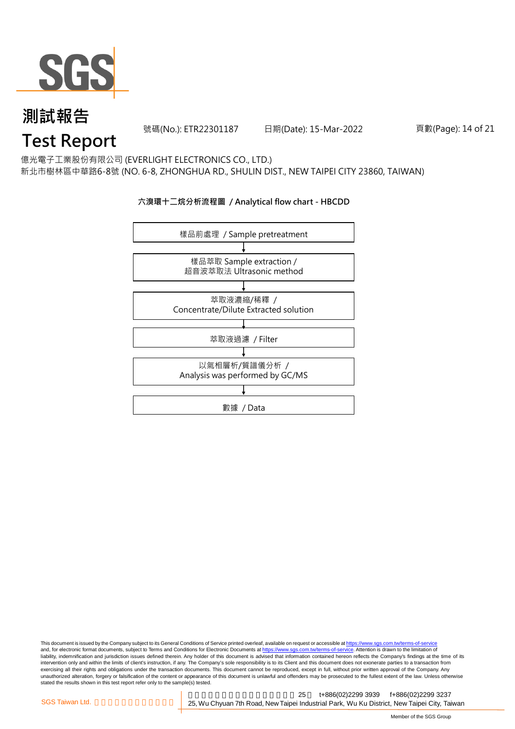

號碼(No.): ETR22301187 日期(Date): 15-Mar-2022 頁數(Page): 14 of 21

## **Test Report**

億光電子工業股份有限公司 (EVERLIGHT ELECTRONICS CO., LTD.) 新北市樹林區中華路6-8號 (NO. 6-8, ZHONGHUA RD., SHULIN DIST., NEW TAIPEI CITY 23860, TAIWAN)

### **六溴環十二烷分析流程圖 / Analytical flow chart - HBCDD**



This document is issued by the Company subject to its General Conditions of Service printed overleaf, available on request or accessible at <u>https://www.sgs.com.tw/terms-of-service</u><br>and, for electronic format documents, su liability, indemnification and jurisdiction issues defined therein. Any holder of this document is advised that information contained hereon reflects the Company's findings at the time of its intervention only and within the limits of client's instruction, if any. The Company's sole responsibility is to its Client and this document does not exonerate parties to a transaction from exercising all their rights and obligations under the transaction documents. This document cannot be reproduced, except in full, without prior written approval of the Company. Any<br>unauthorized alteration, forgery or falsif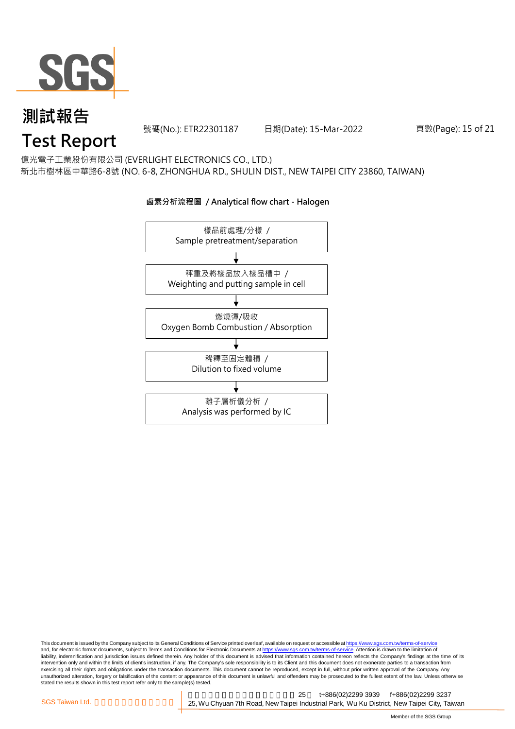

號碼(No.): ETR22301187 日期(Date): 15-Mar-2022 頁數(Page): 15 of 21

## **Test Report**

億光電子工業股份有限公司 (EVERLIGHT ELECTRONICS CO., LTD.) 新北市樹林區中華路6-8號 (NO. 6-8, ZHONGHUA RD., SHULIN DIST., NEW TAIPEI CITY 23860, TAIWAN)



#### **鹵素分析流程圖 / Analytical flow chart - Halogen**

This document is issued by the Company subject to its General Conditions of Service printed overleaf, available on request or accessible at <u>https://www.sgs.com.tw/terms-of-service</u><br>and, for electronic format documents, su liability, indemnification and jurisdiction issues defined therein. Any holder of this document is advised that information contained hereon reflects the Company's findings at the time of its intervention only and within the limits of client's instruction, if any. The Company's sole responsibility is to its Client and this document does not exonerate parties to a transaction from exercising all their rights and obligations under the transaction documents. This document cannot be reproduced, except in full, without prior written approval of the Company. Any<br>unauthorized alteration, forgery or falsif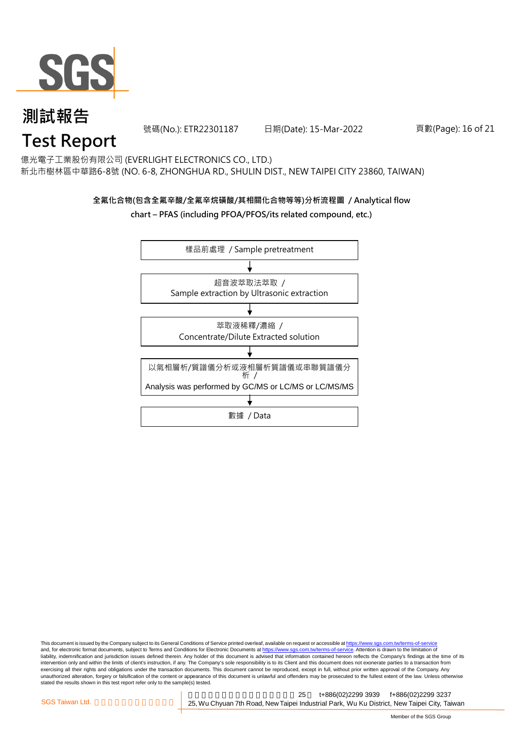

號碼(No.): ETR22301187 日期(Date): 15-Mar-2022 頁數(Page): 16 of 21

## **Test Report**

億光電子工業股份有限公司 (EVERLIGHT ELECTRONICS CO., LTD.) 新北市樹林區中華路6-8號 (NO. 6-8, ZHONGHUA RD., SHULIN DIST., NEW TAIPEI CITY 23860, TAIWAN)

### **全氟化合物(包含全氟辛酸/全氟辛烷磺酸/其相關化合物等等)分析流程圖 / Analytical flow chart – PFAS (including PFOA/PFOS/its related compound, etc.)**



This document is issued by the Company subject to its General Conditions of Service printed overleaf, available on request or accessible at https://www.sgs.com.tw/terms-of-service and, for electronic format documents, subject to Terms and Conditions for Electronic Documents at https://www.sgs.com.tw/terms-of-service. Attention is drawn to the limitation of liability, indemnification and jurisdiction issues defined therein. Any holder of this document is advised that information contained hereon reflects the Company's findings at the time of its intervention only and within the limits of client's instruction, if any. The Company's sole responsibility is to its Client and this document does not exonerate parties to a transaction from exercising all their rights and obligations under the transaction documents. This document cannot be reproduced, except in full, without prior written approval of the Company. Any<br>unauthorized alteration, forgery or falsif stated the results shown in this test report refer only to the sample(s) tested.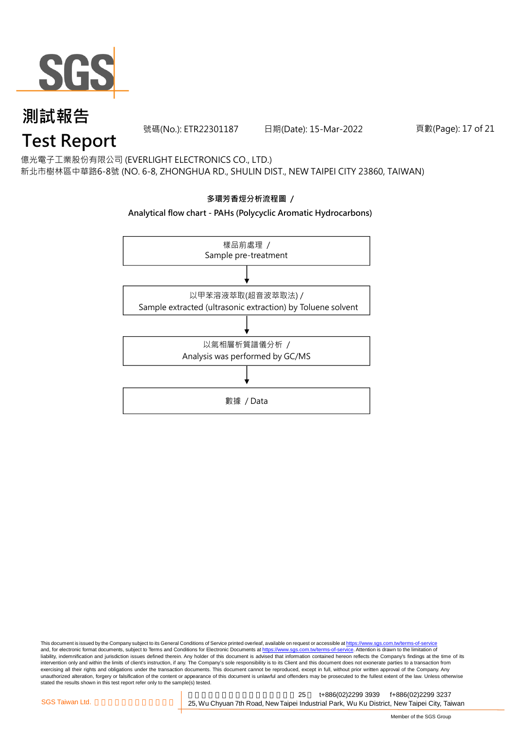

號碼(No.): ETR22301187 日期(Date): 15-Mar-2022 頁數(Page): 17 of 21

## **Test Report**

億光電子工業股份有限公司 (EVERLIGHT ELECTRONICS CO., LTD.) 新北市樹林區中華路6-8號 (NO. 6-8, ZHONGHUA RD., SHULIN DIST., NEW TAIPEI CITY 23860, TAIWAN)



This document is issued by the Company subject to its General Conditions of Service printed overleaf, available on request or accessible at <u>https://www.sgs.com.tw/terms-of-service</u><br>and, for electronic format documents, su liability, indemnification and jurisdiction issues defined therein. Any holder of this document is advised that information contained hereon reflects the Company's findings at the time of its intervention only and within the limits of client's instruction, if any. The Company's sole responsibility is to its Client and this document does not exonerate parties to a transaction from exercising all their rights and obligations under the transaction documents. This document cannot be reproduced, except in full, without prior written approval of the Company. Any<br>unauthorized alteration, forgery or falsif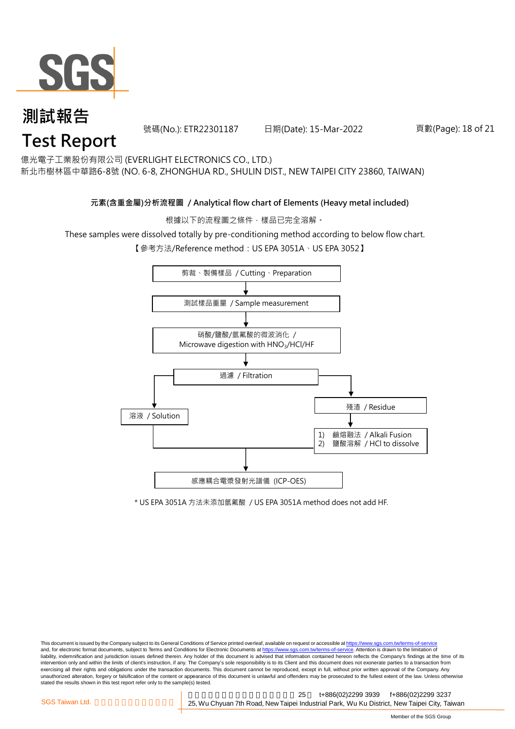

號碼(No.): ETR22301187 日期(Date): 15-Mar-2022 頁數(Page): 18 of 21

億光電子工業股份有限公司 (EVERLIGHT ELECTRONICS CO., LTD.)

新北市樹林區中華路6-8號 (NO. 6-8, ZHONGHUA RD., SHULIN DIST., NEW TAIPEI CITY 23860, TAIWAN)

#### **元素(含重金屬)分析流程圖 / Analytical flow chart of Elements (Heavy metal included)**

根據以下的流程圖之條件,樣品已完全溶解。

These samples were dissolved totally by pre-conditioning method according to below flow chart.

【參考方法/Reference method: US EPA 3051A、US EPA 3052】



\* US EPA 3051A 方法未添加氫氟酸 / US EPA 3051A method does not add HF.

This document is issued by the Company subject to its General Conditions of Service printed overleaf, available on request or accessible at https://www.sgs.com.tw/terms-of-service and, for electronic format documents, subject to Terms and Conditions for Electronic Documents at https://www.sgs.com.tw/terms-of-service. Attention is drawn to the limitation of liability, indemnification and jurisdiction issues defined therein. Any holder of this document is advised that information contained hereon reflects the Company's findings at the time of its intervention only and within the limits of client's instruction, if any. The Company's sole responsibility is to its Client and this document does not exonerate parties to a transaction from exercising all their rights and obligations under the transaction documents. This document cannot be reproduced, except in full, without prior written approval of the Company. Any<br>unauthorized alteration, forgery or falsif stated the results shown in this test report refer only to the sample(s) tested.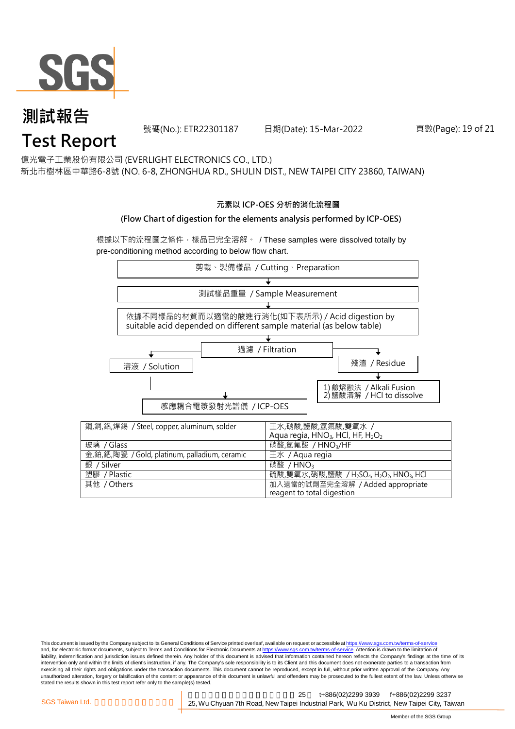

號碼(No.): ETR22301187 日期(Date): 15-Mar-2022 頁數(Page): 19 of 21

億光電子工業股份有限公司 (EVERLIGHT ELECTRONICS CO., LTD.)

新北市樹林區中華路6-8號 (NO. 6-8, ZHONGHUA RD., SHULIN DIST., NEW TAIPEI CITY 23860, TAIWAN)

#### **元素以 ICP-OES 分析的消化流程圖**

#### **(Flow Chart of digestion for the elements analysis performed by ICP-OES)**

根據以下的流程圖之條件,樣品已完全溶解。 / These samples were dissolved totally by pre-conditioning method according to below flow chart.



This document is issued by the Company subject to its General Conditions of Service printed overleaf, available on request or accessible at https://www.sgs.com.tw/terms-of-service and, for electronic format documents, subject to Terms and Conditions for Electronic Documents at https://www.sgs.com.tw/terms-of-service. Attention is drawn to the limitation of liability, indemnification and jurisdiction issues defined therein. Any holder of this document is advised that information contained hereon reflects the Company's findings at the time of its intervention only and within the limits of client's instruction, if any. The Company's sole responsibility is to its Client and this document does not exonerate parties to a transaction from exercising all their rights and obligations under the transaction documents. This document cannot be reproduced, except in full, without prior written approval of the Company. Any<br>unauthorized alteration, forgery or falsif stated the results shown in this test report refer only to the sample(s) tested.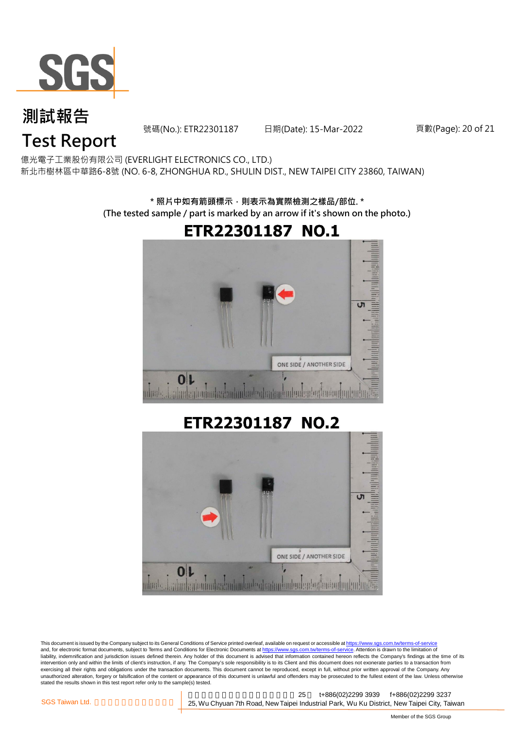

號碼(No.): ETR22301187 日期(Date): 15-Mar-2022 頁數(Page): 20 of 21

## **Test Report**

億光電子工業股份有限公司 (EVERLIGHT ELECTRONICS CO., LTD.) 新北市樹林區中華路6-8號 (NO. 6-8, ZHONGHUA RD., SHULIN DIST., NEW TAIPEI CITY 23860, TAIWAN)

> **\* 照片中如有箭頭標示,則表示為實際檢測之樣品/部位. \* (The tested sample / part is marked by an arrow if it's shown on the photo.)**



## ETR22301187 NO.2



This document is issued by the Company subject to its General Conditions of Service printed overleaf, available on request or accessible at https://www.sgs.com.tw/terms-of-service and, for electronic format documents, subject to Terms and Conditions for Electronic Documents at https://www.sgs.com.tw/terms-of-service. Attention is drawn to the limitation of liability, indemnification and jurisdiction issues defined therein. Any holder of this document is advised that information contained hereon reflects the Company's findings at the time of its intervention only and within the limits of client's instruction, if any. The Company's sole responsibility is to its Client and this document does not exonerate parties to a transaction from exercising all their rights and obligations under the transaction documents. This document cannot be reproduced, except in full, without prior written approval of the Company. Any<br>unauthorized alteration, forgery or falsif stated the results shown in this test report refer only to the sample(s) tested.